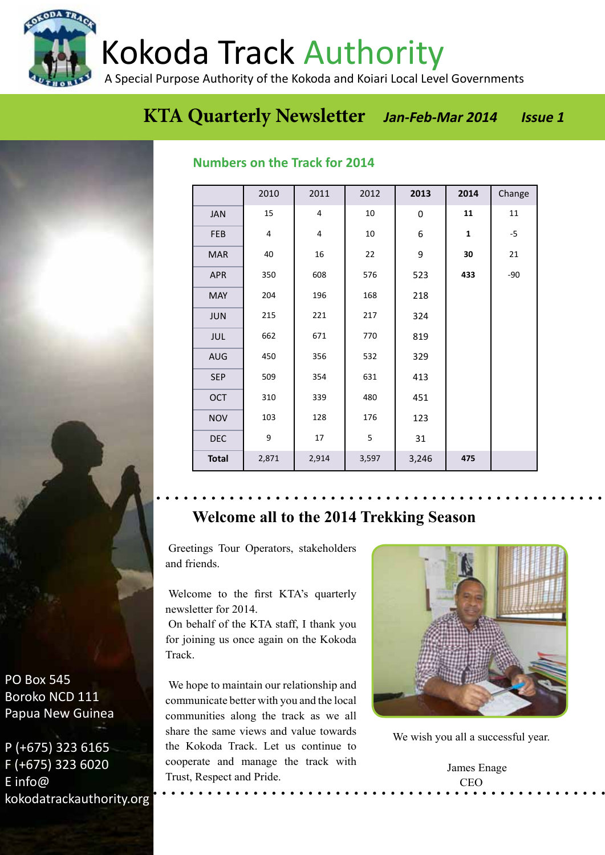Kokoda Track Authority

A Special Purpose Authority of the Kokoda and Koiari Local Level Governments

## **EXTA Quarterly Newsletter Jan-Feb-Mar 2014 Issue 1**

## **Numbers on the Track for 2014**

|              | 2010  | 2011           | 2012  | 2013        | 2014         | Change |
|--------------|-------|----------------|-------|-------------|--------------|--------|
| JAN          | 15    | $\overline{4}$ | 10    | $\mathbf 0$ | 11           | 11     |
| FEB          | 4     | 4              | 10    | 6           | $\mathbf{1}$ | $-5$   |
| <b>MAR</b>   | 40    | 16             | 22    | 9           | 30           | 21     |
| <b>APR</b>   | 350   | 608            | 576   | 523         | 433          | $-90$  |
| <b>MAY</b>   | 204   | 196            | 168   | 218         |              |        |
| <b>JUN</b>   | 215   | 221            | 217   | 324         |              |        |
| <b>JUL</b>   | 662   | 671            | 770   | 819         |              |        |
| <b>AUG</b>   | 450   | 356            | 532   | 329         |              |        |
| <b>SEP</b>   | 509   | 354            | 631   | 413         |              |        |
| <b>OCT</b>   | 310   | 339            | 480   | 451         |              |        |
| <b>NOV</b>   | 103   | 128            | 176   | 123         |              |        |
| <b>DEC</b>   | 9     | 17             | 5     | 31          |              |        |
| <b>Total</b> | 2,871 | 2,914          | 3,597 | 3,246       | 475          |        |

## **Welcome all to the 2014 Trekking Season**

Greetings Tour Operators, stakeholders and friends.

Welcome to the first KTA's quarterly newsletter for 2014.

On behalf of the KTA staff, I thank you for joining us once again on the Kokoda Track.

We hope to maintain our relationship and communicate better with you and the local communities along the track as we all share the same views and value towards the Kokoda Track. Let us continue to cooperate and manage the track with Trust, Respect and Pride.



We wish you all a successful year.

 James Enage CEO

PO Box 545 Boroko NCD 111 Papua New Guinea

P (+675) 323 6165 F (+675) 323 6020 E info@ kokodatrackauthority.org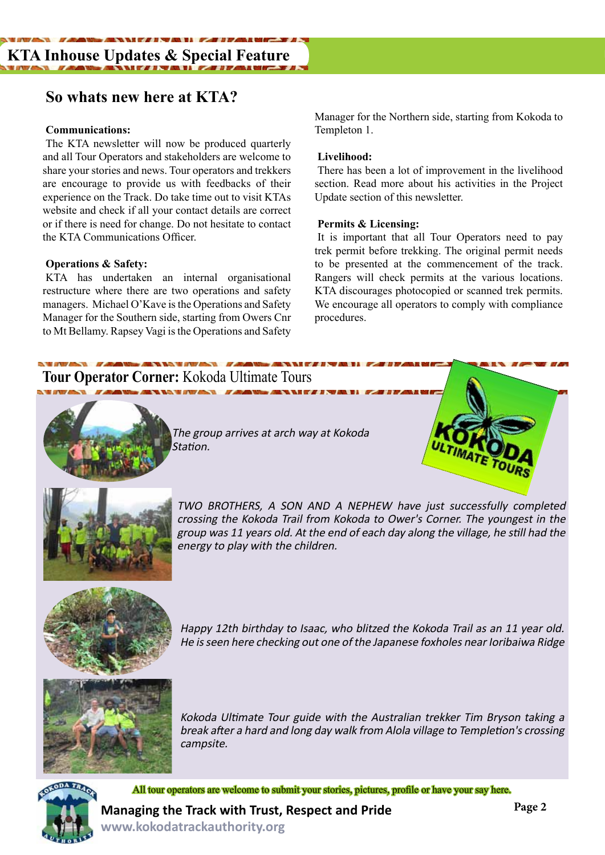## **So whats new here at KTA?**

### **Communications:**

The KTA newsletter will now be produced quarterly and all Tour Operators and stakeholders are welcome to share your stories and news. Tour operators and trekkers are encourage to provide us with feedbacks of their experience on the Track. Do take time out to visit KTAs website and check if all your contact details are correct or if there is need for change. Do not hesitate to contact the KTA Communications Officer.

### **Operations & Safety:**

KTA has undertaken an internal organisational restructure where there are two operations and safety managers. Michael O'Kave is the Operations and Safety Manager for the Southern side, starting from Owers Cnr to Mt Bellamy. Rapsey Vagi is the Operations and Safety Manager for the Northern side, starting from Kokoda to Templeton 1.

#### **Livelihood:**

There has been a lot of improvement in the livelihood section. Read more about his activities in the Project Update section of this newsletter.

#### **Permits & Licensing:**

It is important that all Tour Operators need to pay trek permit before trekking. The original permit needs to be presented at the commencement of the track. Rangers will check permits at the various locations. KTA discourages photocopied or scanned trek permits. We encourage all operators to comply with compliance procedures.

## **Tour Operator Corner:** Kokoda Ultimate Tours



The group arrives at arch way at Kokoda Station.





TWO BROTHERS, A SON AND A NEPHEW have just successfully completed crossing the Kokoda Trail from Kokoda to Ower's Corner. The youngest in the group was 11 years old. At the end of each day along the village, he still had the energy to play with the children.



Happy 12th birthday to Isaac, who blitzed the Kokoda Trail as an 11 year old. He is seen here checking out one of the Japanese foxholes near Ioribaiwa Ridge



Kokoda Ultimate Tour guide with the Australian trekker Tim Bryson taking a break after a hard and long day walk from Alola village to Templetion's crossing campsite.



All tour operators are welcome to submit your stories, pictures, profile or have your say here.

**Managing the Track with Trust, Respect and Pride www.kokodatrackauthority.org**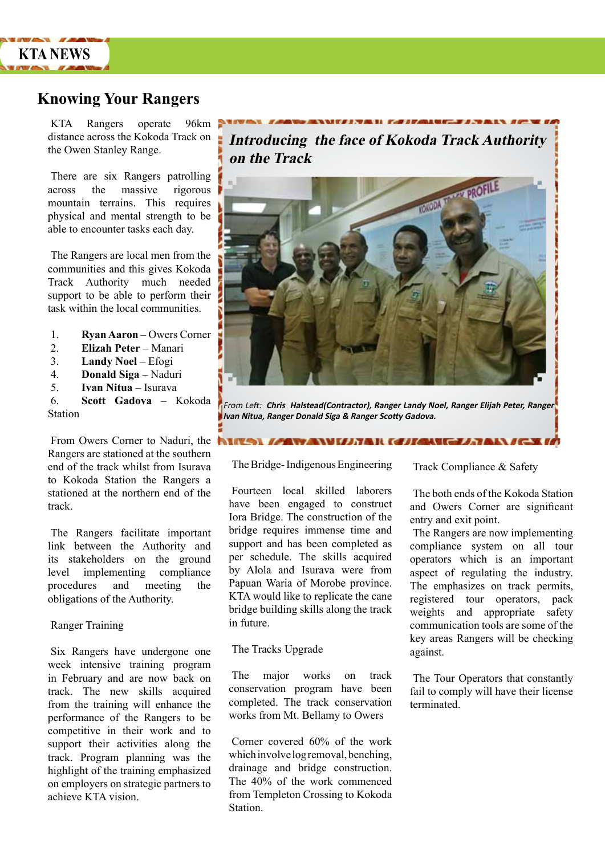

## **Knowing Your Rangers**

KTA Rangers operate 96km distance across the Kokoda Track on the Owen Stanley Range.

There are six Rangers patrolling across the massive rigorous mountain terrains. This requires physical and mental strength to be able to encounter tasks each day.

The Rangers are local men from the communities and this gives Kokoda Track Authority much needed support to be able to perform their task within the local communities.

- 1. **Ryan Aaron** Owers Corner
- 2. **Elizah Peter** Manari
- 3. **Landy Noel**  Efogi
- 4. **Donald Siga** Naduri
- 5. **Ivan Nitua**  Isurava
- 6. **Scott Gadova** Kokoda Station

From Owers Corner to Naduri, the Rangers are stationed at the southern end of the track whilst from Isurava to Kokoda Station the Rangers a stationed at the northern end of the track.

The Rangers facilitate important link between the Authority and its stakeholders on the ground level implementing compliance procedures and meeting the obligations of the Authority.

#### Ranger Training

Six Rangers have undergone one week intensive training program in February and are now back on track. The new skills acquired from the training will enhance the performance of the Rangers to be competitive in their work and to support their activities along the track. Program planning was the highlight of the training emphasized on employers on strategic partners to achieve KTA vision.

**Introducing the face of Kokoda Track Authority on the Track**



From Left: **Chris Halstead(Contractor), Ranger Landy Noel, Ranger Elijah Peter, Ranger Ivan Nitua, Ranger Donald Siga & Ranger Scotty Gadova.**

**ITANI GALANTE AN** 

The Bridge- Indigenous Engineering

Fourteen local skilled laborers have been engaged to construct Iora Bridge. The construction of the bridge requires immense time and support and has been completed as per schedule. The skills acquired by Alola and Isurava were from Papuan Waria of Morobe province. KTA would like to replicate the cane bridge building skills along the track in future.

#### The Tracks Upgrade

The major works on track conservation program have been completed. The track conservation works from Mt. Bellamy to Owers

Corner covered 60% of the work which involve log removal, benching, drainage and bridge construction. The 40% of the work commenced from Templeton Crossing to Kokoda Station.

Track Compliance & Safety

The both ends of the Kokoda Station and Owers Corner are significant entry and exit point.

The Rangers are now implementing compliance system on all tour operators which is an important aspect of regulating the industry. The emphasizes on track permits, registered tour operators, pack weights and appropriate safety communication tools are some of the key areas Rangers will be checking against.

The Tour Operators that constantly fail to comply will have their license terminated.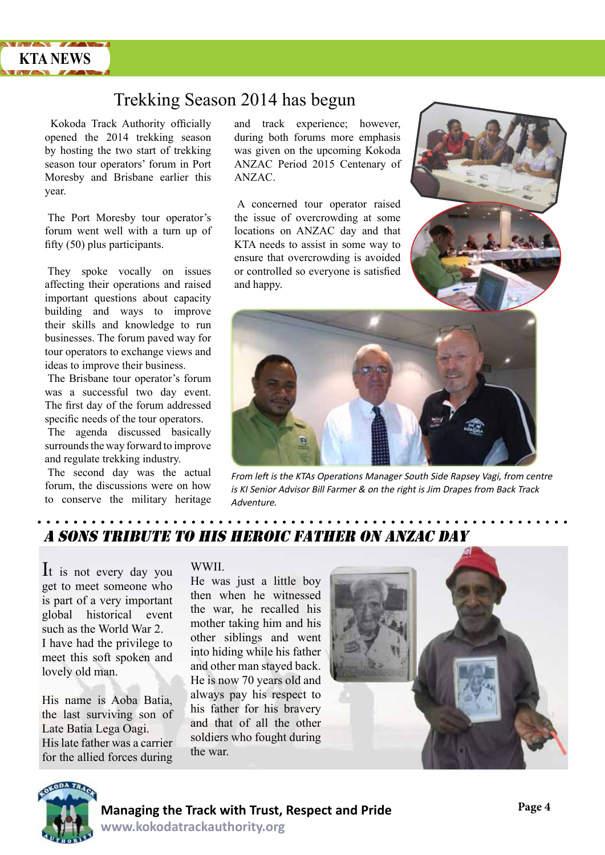

## Trekking Season 2014 has begun

Kokoda Track Authority officially opened the 2014 trekking season by hosting the two start of trekking season tour operators' forum in Port Moresby and Brisbane earlier this year.

The Port Moresby tour operator's forum went well with a turn up of fifty (50) plus participants.

They spoke vocally on issues affecting their operations and raised important questions about capacity building and ways to improve their skills and knowledge to run businesses. The forum paved way for tour operators to exchange views and ideas to improve their business.

The Brisbane tour operator's forum was a successful two day event. The first day of the forum addressed specific needs of the tour operators.

The agenda discussed basically surrounds the way forward to improve and regulate trekking industry.

The second day was the actual forum, the discussions were on how to conserve the military heritage

and track experience; however, during both forums more emphasis was given on the upcoming Kokoda ANZAC Period 2015 Centenary of ANZAC.

A concerned tour operator raised the issue of overcrowding at some locations on ANZAC day and that KTA needs to assist in some way to ensure that overcrowding is avoided or controlled so everyone is satisfied and happy.





From left is the KTAs Operations Manager South Side Rapsey Vagi, from centre is KI Senior Advisor Bill Farmer & on the right is Jim Drapes from Back Track **Adventure** 

## a sONS TRIBUTE TO HIS HEROIC FATHER ON ANZAC DAY

It is not every day you get to meet someone who is part of a very important global historical event such as the World War 2. I have had the privilege to meet this soft spoken and lovely old man.

His name is Aoba Batia, the last surviving son of Late Batia Lega Oagi. His late father was a carrier for the allied forces during

#### WWII.

He was just a little boy then when he witnessed the war, he recalled his mother taking him and his other siblings and went into hiding while his father and other man stayed back. He is now 70 years old and always pay his respect to his father for his bravery and that of all the other soldiers who fought during the war.



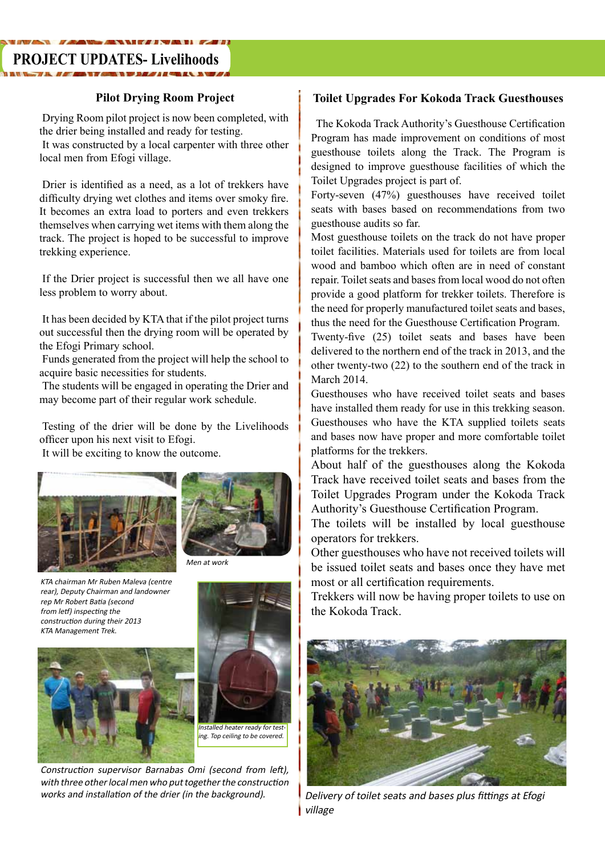## **PROJECT UPDATES- Livelihoods**

Drying Room pilot project is now been completed, with the drier being installed and ready for testing. It was constructed by a local carpenter with three other local men from Efogi village.

Drier is identified as a need, as a lot of trekkers have difficulty drying wet clothes and items over smoky fire. It becomes an extra load to porters and even trekkers themselves when carrying wet items with them along the track. The project is hoped to be successful to improve trekking experience.

If the Drier project is successful then we all have one less problem to worry about.

It has been decided by KTA that if the pilot project turns out successful then the drying room will be operated by the Efogi Primary school.

Funds generated from the project will help the school to acquire basic necessities for students.

The students will be engaged in operating the Drier and may become part of their regular work schedule.

Testing of the drier will be done by the Livelihoods officer upon his next visit to Efogi. It will be exciting to know the outcome.





Men at work

KTA chairman Mr Ruben Maleva (centre rear), Deputy Chairman and landowner rep Mr Robert Batia (second from letf) inspecting the construction during their 2013 KTA Management Trek.





ing. Top ceiling to be covered.

Construction supervisor Barnabas Omi (second from left), with three other local men who put together the construction works and installation of the drier (in the background).

## **Pilot Drying Room Project Toilet Upgrades For Kokoda Track Guesthouses**

 The Kokoda Track Authority's Guesthouse Certification Program has made improvement on conditions of most guesthouse toilets along the Track. The Program is designed to improve guesthouse facilities of which the Toilet Upgrades project is part of.

Forty-seven (47%) guesthouses have received toilet seats with bases based on recommendations from two guesthouse audits so far.

Most guesthouse toilets on the track do not have proper toilet facilities. Materials used for toilets are from local wood and bamboo which often are in need of constant repair. Toilet seats and bases from local wood do not often provide a good platform for trekker toilets. Therefore is the need for properly manufactured toilet seats and bases, thus the need for the Guesthouse Certification Program.

Twenty-five (25) toilet seats and bases have been delivered to the northern end of the track in 2013, and the other twenty-two (22) to the southern end of the track in March 2014.

Guesthouses who have received toilet seats and bases have installed them ready for use in this trekking season. Guesthouses who have the KTA supplied toilets seats and bases now have proper and more comfortable toilet platforms for the trekkers.

About half of the guesthouses along the Kokoda Track have received toilet seats and bases from the Toilet Upgrades Program under the Kokoda Track Authority's Guesthouse Certification Program.

The toilets will be installed by local guesthouse operators for trekkers.

Other guesthouses who have not received toilets will be issued toilet seats and bases once they have met most or all certification requirements.

Trekkers will now be having proper toilets to use on the Kokoda Track.



Delivery of toilet seats and bases plus fittings at Efogi village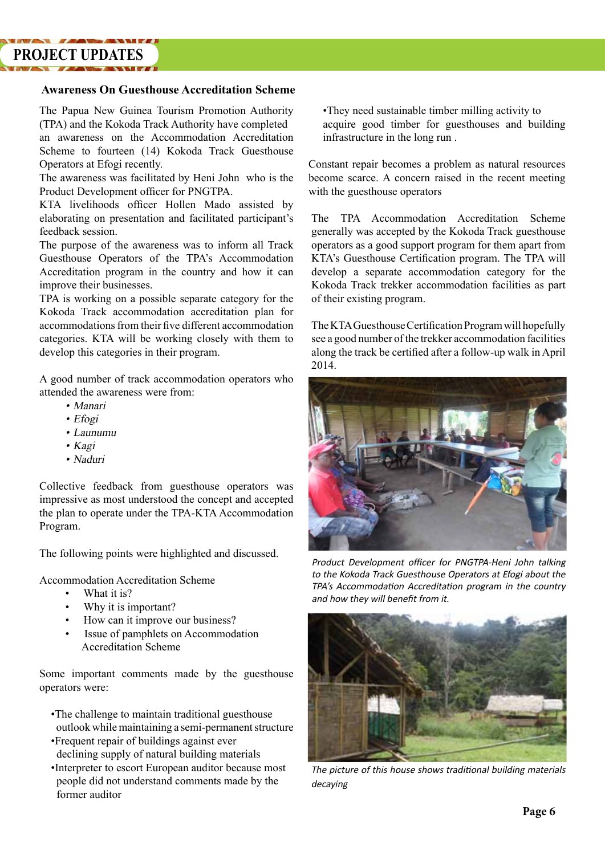# **PROJECT UPDATES**

#### **Awareness On Guesthouse Accreditation Scheme**

The Papua New Guinea Tourism Promotion Authority (TPA) and the Kokoda Track Authority have completed an awareness on the Accommodation Accreditation Scheme to fourteen (14) Kokoda Track Guesthouse Operators at Efogi recently.

The awareness was facilitated by Heni John who is the Product Development officer for PNGTPA.

KTA livelihoods officer Hollen Mado assisted by elaborating on presentation and facilitated participant's feedback session.

The purpose of the awareness was to inform all Track Guesthouse Operators of the TPA's Accommodation Accreditation program in the country and how it can improve their businesses.

TPA is working on a possible separate category for the Kokoda Track accommodation accreditation plan for accommodations from their five different accommodation categories. KTA will be working closely with them to develop this categories in their program.

A good number of track accommodation operators who attended the awareness were from:

- Manari
- Efogi
- Launumu
- Kagi
- Naduri

Collective feedback from guesthouse operators was impressive as most understood the concept and accepted the plan to operate under the TPA-KTA Accommodation Program.

The following points were highlighted and discussed.

Accommodation Accreditation Scheme

- What it is?
- Why it is important?
- How can it improve our business?
- Issue of pamphlets on Accommodation Accreditation Scheme

Some important comments made by the guesthouse operators were:

- •The challenge to maintain traditional guesthouse outlook while maintaining a semi-permanent structure
- •Frequent repair of buildings against ever declining supply of natural building materials
- •Interpreter to escort European auditor because most people did not understand comments made by the former auditor

•They need sustainable timber milling activity to acquire good timber for guesthouses and building infrastructure in the long run .

Constant repair becomes a problem as natural resources become scarce. A concern raised in the recent meeting with the guesthouse operators

The TPA Accommodation Accreditation Scheme generally was accepted by the Kokoda Track guesthouse operators as a good support program for them apart from KTA's Guesthouse Certification program. The TPA will develop a separate accommodation category for the Kokoda Track trekker accommodation facilities as part of their existing program.

The KTA Guesthouse Certification Program will hopefully see a good number of the trekker accommodation facilities along the track be certified after a follow-up walk in April 2014.



Product Development officer for PNGTPA-Heni John talking to the Kokoda Track Guesthouse Operators at Efogi about the TPA's Accommodation Accreditation program in the country and how they will benefit from it.



The picture of this house shows traditional building materials decaying